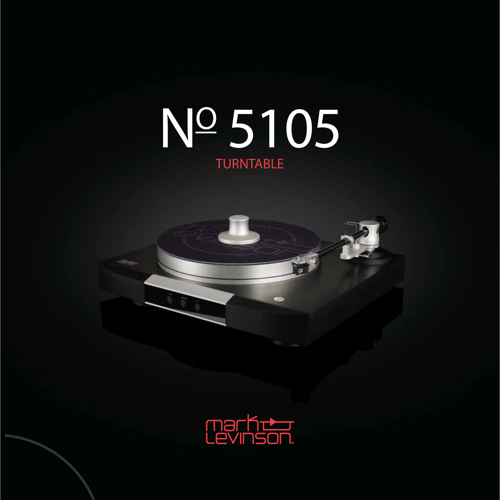# TURNTABLE NO 5105



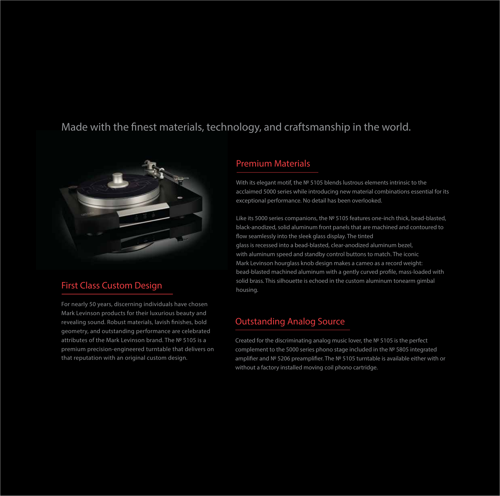# *Made with the finest materials, technology, and craftsmanship in the world.*



### First Class Custom Design

For nearly 50 years, discerning individuals have chosen Mark Levinson products for their luxurious beauty and revealing sound. Robust materials, lavish finishes, bold geometry, and outstanding performance are celebrated attributes of the Mark Levinson brand. The № 5105 is a premium precision-engineered turntable that delivers on that reputation with an original custom design.

#### Premium Materials

With its elegant motif, the № 5105 blends lustrous elements intrinsic to the acclaimed 5000 series while introducing new material combinations essential for its exceptional performance. No detail has been overlooked.

Like its 5000 series companions, the № 5105 features one-inch thick, bead-blasted, black-anodized, solid aluminum front panels that are machined and contoured to flow seamlessly into the sleek glass display. The tinted glass is recessed into a bead-blasted, clear-anodized aluminum bezel, with aluminum speed and standby control buttons to match. The iconic Mark Levinson hourglass knob design makes a cameo as a record weight: bead-blasted machined aluminum with a gently curved profile, mass-loaded with solid brass. This silhouette is echoed in the custom aluminum tonearm gimbal housing.

#### Outstanding Analog Source

Created for the discriminating analog music lover, the № 5105 is the perfect complement to the 5000 series phono stage included in the № 5805 integrated amplifier and № 5206 preamplifier. The № 5105 turntable is available either with or without a factory installed moving coil phono cartridge.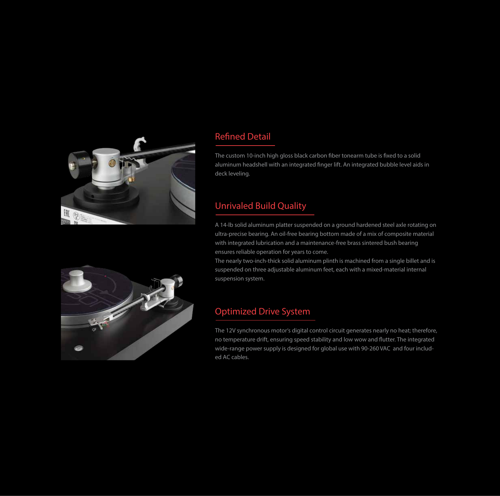

# **Refined Detail**

The custom 10-inch high gloss black carbon fiber tonearm tube is fixed to a solid aluminum headshell with an integrated finger lift. An integrated bubble level aids in deck leveling.

### Unrivaled Build Quality

A 14-lb solid aluminum platter suspended on a ground hardened steel axle rotating on ultra-precise bearing. An oil-free bearing bottom made of a mix of composite material with integrated lubrication and a maintenance-free brass sintered bush bearing ensures reliable operation for years to come.

The nearly two-inch-thick solid aluminum plinth is machined from a single billet and is suspended on three adjustable aluminum feet, each with a mixed-material internal suspension system.

## Optimized Drive System

The 12V synchronous motor's digital control circuit generates nearly no heat; therefore, no temperature drift, ensuring speed stability and low wow and flutter. The integrated wide-range power supply is designed for global use with 90-260 VAC and four included AC cables.